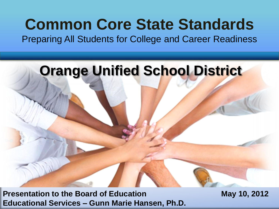# **Common Core State Standards**

Preparing All Students for College and Career Readiness

# **Orange Unified School District**

**Presentation to the Board of Education May 10, 2012 Educational Services – Gunn Marie Hansen, Ph.D.**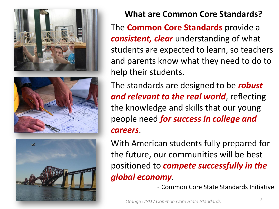





**What are Common Core Standards?**

The **Common Core Standards** provide a *consistent, clear* understanding of what students are expected to learn, so teachers and parents know what they need to do to help their students.

The standards are designed to be *robust and relevant to the real world*, reflecting the knowledge and skills that our young people need *for success in college and careers*.

With American students fully prepared for the future, our communities will be best positioned to *compete successfully in the global economy*.

- Common Core State Standards Initiative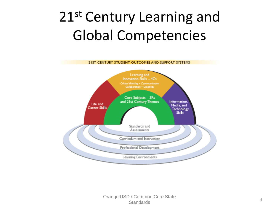# 21st Century Learning and Global Competencies

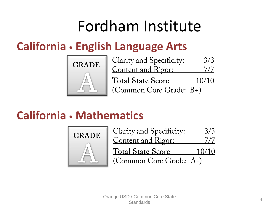# Fordham Institute

### **California • English Language Arts**



| Clarity and Specificity:  | 3/3   |
|---------------------------|-------|
| <u>Content and Rigor:</u> | 7/7   |
| <b>Total State Score</b>  | 10/10 |
| (Common Core Grade: B+)   |       |

### **California • Mathematics**

![](_page_3_Picture_5.jpeg)

| Clarity and Specificity:  | 3/3   |
|---------------------------|-------|
| <u>Content and Rigor:</u> | 7/7   |
| <b>Total State Score</b>  | 10/10 |
| (Common Core Grade: A-)   |       |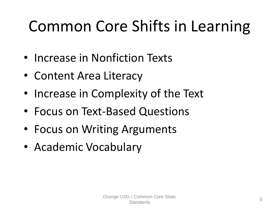# Common Core Shifts in Learning

- Increase in Nonfiction Texts
- Content Area Literacy
- Increase in Complexity of the Text
- Focus on Text-Based Questions
- Focus on Writing Arguments
- Academic Vocabulary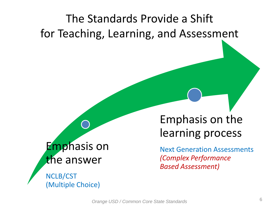## The Standards Provide a Shift for Teaching, Learning, and Assessment

### Emphasis on the answer

NCLB/CST (Multiple Choice)

### Emphasis on the learning process

Next Generation Assessments *(Complex Performance Based Assessment)*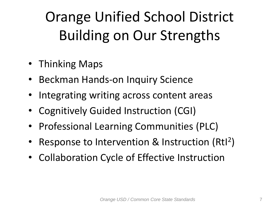# Orange Unified School District Building on Our Strengths

- Thinking Maps
- Beckman Hands-on Inquiry Science
- Integrating writing across content areas
- Cognitively Guided Instruction (CGI)
- Professional Learning Communities (PLC)
- Response to Intervention & Instruction (Rtl<sup>2</sup>)
- Collaboration Cycle of Effective Instruction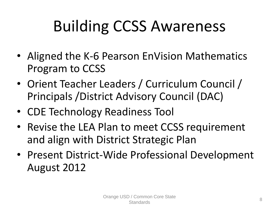# Building CCSS Awareness

- Aligned the K-6 Pearson EnVision Mathematics Program to CCSS
- Orient Teacher Leaders / Curriculum Council / Principals /District Advisory Council (DAC)
- CDE Technology Readiness Tool
- Revise the LEA Plan to meet CCSS requirement and align with District Strategic Plan
- Present District-Wide Professional Development August 2012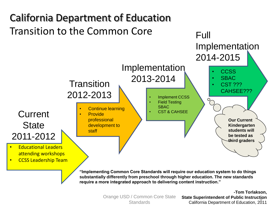![](_page_8_Figure_0.jpeg)

Orange USD / Common Core State

**-Tom Torlakson, State Superintendent of Public Instruction** Standards State Superintendent of Public instruction<br>Standards California Department of Education, 2011